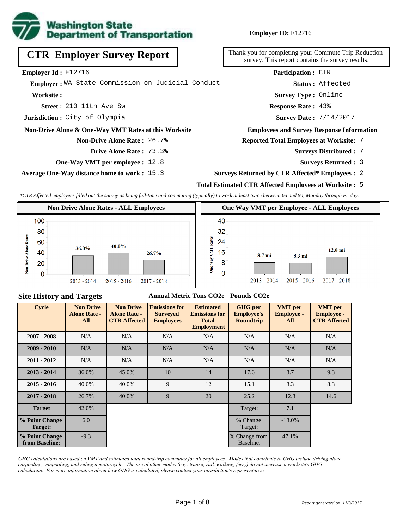

**Employer ID:** E12716

| <b>CTR Employer Survey Report</b>                    | Thank you for completing your Commute Trip Reduction<br>survey. This report contains the survey results. |
|------------------------------------------------------|----------------------------------------------------------------------------------------------------------|
| Employer Id: E12716                                  | <b>Participation: CTR</b>                                                                                |
| Emplover: WA State Commission on Judicial Conduct    | Status: Affected                                                                                         |
| Worksite:                                            | <b>Survey Type: Online</b>                                                                               |
| <b>Street:</b> $210$ 11th Ave Sw                     | <b>Response Rate: 43%</b>                                                                                |
| Jurisdiction: City of Olympia                        | <b>Survey Date: 7/14/2017</b>                                                                            |
| Non-Drive Alone & One-Way VMT Rates at this Worksite | <b>Employees and Survey Response Information</b>                                                         |
| <b>Non-Drive Alone Rate: 26.7%</b>                   | <b>Reported Total Employees at Worksite: 7</b>                                                           |
| <b>Drive Alone Rate: 73.3%</b>                       | <b>Surveys Distributed : 7</b>                                                                           |
| <b>One-Way VMT per employee : 12.8</b>               | <b>Surveys Returned : 3</b>                                                                              |
| <b>Average One-Way distance home to work: 15.3</b>   | <b>Surveys Returned by CTR Affected* Employees : 2</b>                                                   |

# **Total Estimated CTR Affected Employees at Worksite :** 5

*\*CTR Affected employees filled out the survey as being full-time and commuting (typically) to work at least twice between 6a and 9a, Monday through Friday.*



#### **Site History and Targets**

#### **Annual Metric Tons CO2e Pounds CO2e**

| <b>Cycle</b>                     | <b>Non Drive</b><br><b>Alone Rate -</b><br>All | <b>Non Drive</b><br><b>Alone Rate -</b><br><b>CTR Affected</b> | <b>Emissions for</b><br><b>Surveyed</b><br><b>Employees</b> | <b>Estimated</b><br><b>Emissions for</b><br><b>Total</b><br><b>Employment</b> | <b>GHG</b> per<br><b>Employee's</b><br><b>Roundtrip</b> | <b>VMT</b> per<br><b>Employee -</b><br>All | <b>VMT</b> per<br><b>Employee -</b><br><b>CTR Affected</b> |
|----------------------------------|------------------------------------------------|----------------------------------------------------------------|-------------------------------------------------------------|-------------------------------------------------------------------------------|---------------------------------------------------------|--------------------------------------------|------------------------------------------------------------|
| $2007 - 2008$                    | N/A                                            | N/A                                                            | N/A<br>N/A                                                  |                                                                               | N/A                                                     | N/A                                        | N/A                                                        |
| $2009 - 2010$                    | N/A                                            | N/A                                                            | N/A                                                         | N/A                                                                           | N/A                                                     | N/A                                        | N/A                                                        |
| $2011 - 2012$                    | N/A                                            | N/A                                                            | N/A                                                         | N/A                                                                           | N/A                                                     | N/A                                        | N/A                                                        |
| $2013 - 2014$                    | 36.0%                                          | 45.0%                                                          | 10                                                          | 14                                                                            | 17.6                                                    | 8.7                                        | 9.3                                                        |
| $2015 - 2016$                    | 40.0%                                          | 40.0%                                                          | 9                                                           | 12                                                                            | 15.1                                                    | 8.3                                        | 8.3                                                        |
| $2017 - 2018$                    | 26.7%                                          | 40.0%                                                          | 9                                                           | 20                                                                            | 25.2                                                    | 12.8                                       | 14.6                                                       |
| <b>Target</b>                    | 42.0%                                          |                                                                |                                                             |                                                                               | Target:                                                 | 7.1                                        |                                                            |
| % Point Change<br>Target:        | 6.0                                            |                                                                |                                                             |                                                                               | % Change<br>Target:                                     | $-18.0\%$                                  |                                                            |
| % Point Change<br>from Baseline: | $-9.3$                                         |                                                                |                                                             |                                                                               | % Change from<br>Baseline:                              | 47.1%                                      |                                                            |

*GHG calculations are based on VMT and estimated total round-trip commutes for all employees. Modes that contribute to GHG include driving alone, carpooling, vanpooling, and riding a motorcycle. The use of other modes (e.g., transit, rail, walking, ferry) do not increase a worksite's GHG calculation. For more information about how GHG is calculated, please contact your jurisdiction's representative.*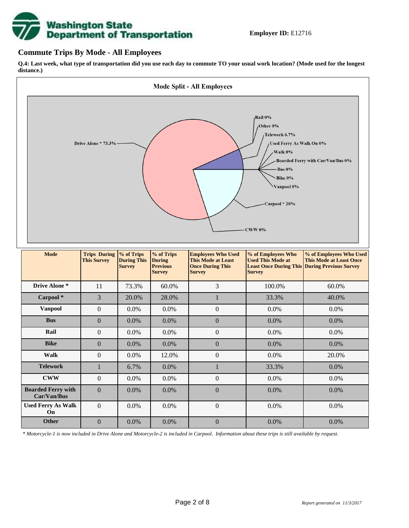# **Washington State<br>Department of Transportation**

#### **Commute Trips By Mode - All Employees**

**Q.4: Last week, what type of transportation did you use each day to commute TO your usual work location? (Mode used for the longest distance.)**



*\* Motorcycle-1 is now included in Drive Alone and Motorcycle-2 is included in Carpool. Information about these trips is still available by request.*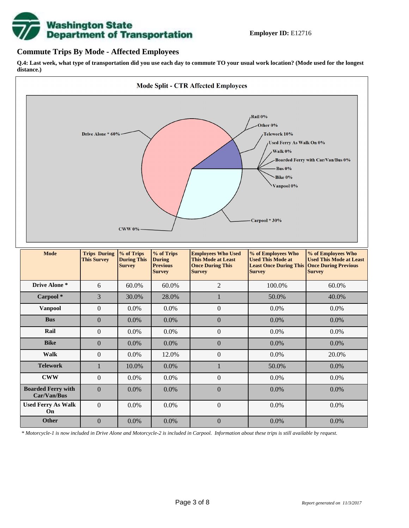

#### **Commute Trips By Mode - Affected Employees**

**Q.4: Last week, what type of transportation did you use each day to commute TO your usual work location? (Mode used for the longest distance.)**



*\* Motorcycle-1 is now included in Drive Alone and Motorcycle-2 is included in Carpool. Information about these trips is still available by request.*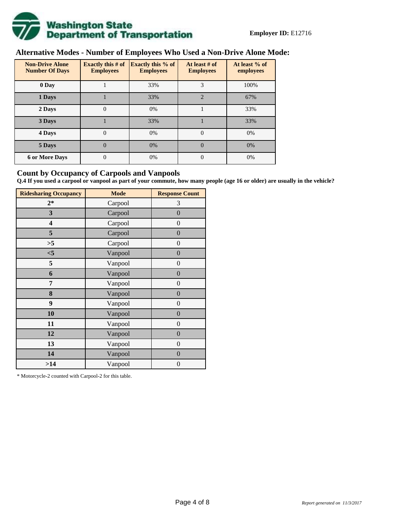

# **Alternative Modes - Number of Employees Who Used a Non-Drive Alone Mode:**

| <b>Non-Drive Alone</b><br><b>Number Of Days</b> | <b>Exactly this # of</b><br><b>Employees</b> | <b>Exactly this % of</b><br><b>Employees</b> | At least # of<br><b>Employees</b> | At least % of<br>employees |
|-------------------------------------------------|----------------------------------------------|----------------------------------------------|-----------------------------------|----------------------------|
| 0 Day                                           |                                              | 33%                                          | 3                                 | 100%                       |
| 1 Days                                          |                                              | 33%                                          | $\overline{2}$                    | 67%                        |
| 2 Days                                          | 0                                            | 0%                                           |                                   | 33%                        |
| 3 Days                                          |                                              | 33%                                          |                                   | 33%                        |
| 4 Days                                          | $\theta$                                     | 0%                                           | $\Omega$                          | 0%                         |
| 5 Days                                          | 0                                            | 0%                                           | $\theta$                          | 0%                         |
| <b>6 or More Days</b>                           | $\theta$                                     | 0%                                           | $\Omega$                          | 0%                         |

#### **Count by Occupancy of Carpools and Vanpools**

**Q.4 If you used a carpool or vanpool as part of your commute, how many people (age 16 or older) are usually in the vehicle?**

| <b>Ridesharing Occupancy</b> | <b>Mode</b> | <b>Response Count</b> |
|------------------------------|-------------|-----------------------|
| $2*$                         | Carpool     | 3                     |
| 3                            | Carpool     | $\boldsymbol{0}$      |
| 4                            | Carpool     | $\boldsymbol{0}$      |
| 5                            | Carpool     | $\boldsymbol{0}$      |
| >5                           | Carpool     | $\overline{0}$        |
| $<$ 5                        | Vanpool     | $\overline{0}$        |
| 5                            | Vanpool     | $\boldsymbol{0}$      |
| 6                            | Vanpool     | $\boldsymbol{0}$      |
| 7                            | Vanpool     | $\boldsymbol{0}$      |
| 8                            | Vanpool     | $\boldsymbol{0}$      |
| 9                            | Vanpool     | $\boldsymbol{0}$      |
| 10                           | Vanpool     | $\overline{0}$        |
| 11                           | Vanpool     | $\overline{0}$        |
| 12                           | Vanpool     | $\boldsymbol{0}$      |
| 13                           | Vanpool     | $\boldsymbol{0}$      |
| 14                           | Vanpool     | $\overline{0}$        |
| >14                          | Vanpool     | $\boldsymbol{0}$      |

\* Motorcycle-2 counted with Carpool-2 for this table.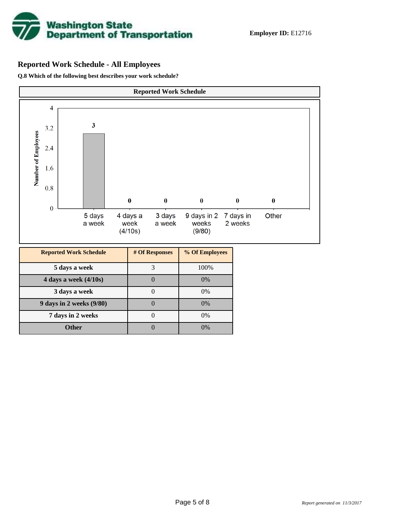

# **Reported Work Schedule - All Employees**

**Q.8 Which of the following best describes your work schedule?**

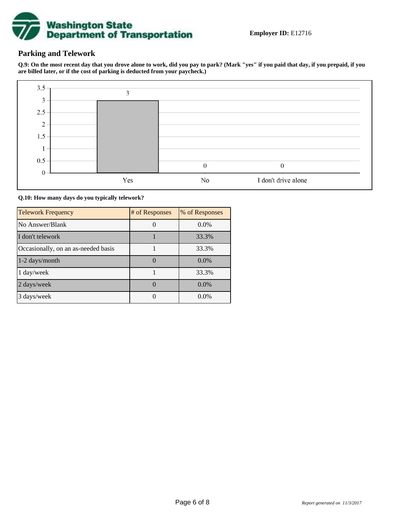

### **Parking and Telework**

**Q.9: On the most recent day that you drove alone to work, did you pay to park? (Mark "yes" if you paid that day, if you prepaid, if you are billed later, or if the cost of parking is deducted from your paycheck.)**



**Q.10: How many days do you typically telework?**

| <b>Telework Frequency</b>           | # of Responses | % of Responses |
|-------------------------------------|----------------|----------------|
| No Answer/Blank                     |                | $0.0\%$        |
| I don't telework                    |                | 33.3%          |
| Occasionally, on an as-needed basis |                | 33.3%          |
| 1-2 days/month                      |                | $0.0\%$        |
| 1 day/week                          |                | 33.3%          |
| 2 days/week                         |                | $0.0\%$        |
| 3 days/week                         |                | $0.0\%$        |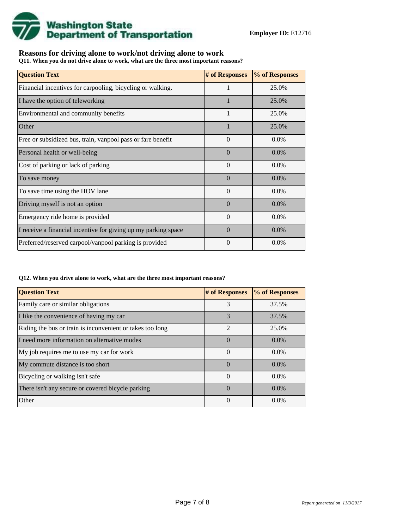

## **Reasons for driving alone to work/not driving alone to work**

**Q11. When you do not drive alone to work, what are the three most important reasons?**

| <b>Question Text</b>                                           | # of Responses | % of Responses |
|----------------------------------------------------------------|----------------|----------------|
| Financial incentives for carpooling, bicycling or walking.     | 1              | 25.0%          |
| I have the option of teleworking                               |                | 25.0%          |
| Environmental and community benefits                           | $\mathbf{1}$   | 25.0%          |
| Other                                                          |                | 25.0%          |
| Free or subsidized bus, train, vanpool pass or fare benefit    | $\theta$       | $0.0\%$        |
| Personal health or well-being                                  | $\Omega$       | $0.0\%$        |
| Cost of parking or lack of parking                             | $\Omega$       | $0.0\%$        |
| To save money                                                  | $\Omega$       | $0.0\%$        |
| To save time using the HOV lane                                | $\Omega$       | $0.0\%$        |
| Driving myself is not an option                                | $\Omega$       | $0.0\%$        |
| Emergency ride home is provided                                | $\Omega$       | $0.0\%$        |
| I receive a financial incentive for giving up my parking space | $\Omega$       | $0.0\%$        |
| Preferred/reserved carpool/vanpool parking is provided         | $\theta$       | $0.0\%$        |

#### **Q12. When you drive alone to work, what are the three most important reasons?**

| <b>Question Text</b>                                      | # of Responses | % of Responses |
|-----------------------------------------------------------|----------------|----------------|
| Family care or similar obligations                        | 3              | 37.5%          |
| I like the convenience of having my car                   | 3              | 37.5%          |
| Riding the bus or train is inconvenient or takes too long | $\mathfrak{D}$ | 25.0%          |
| I need more information on alternative modes              | $\theta$       | $0.0\%$        |
| My job requires me to use my car for work                 | $\Omega$       | $0.0\%$        |
| My commute distance is too short                          | $\Omega$       | $0.0\%$        |
| Bicycling or walking isn't safe                           | $\Omega$       | $0.0\%$        |
| There isn't any secure or covered bicycle parking         | $\Omega$       | $0.0\%$        |
| Other                                                     | $\theta$       | $0.0\%$        |